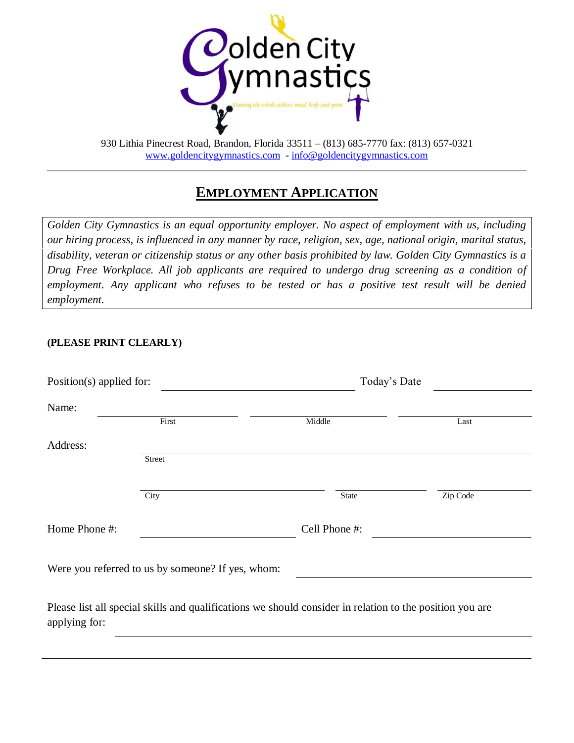

# **EMPLOYMENT APPLICATION**

*Golden City Gymnastics is an equal opportunity employer. No aspect of employment with us, including our hiring process, is influenced in any manner by race, religion, sex, age, national origin, marital status, disability, veteran or citizenship status or any other basis prohibited by law. Golden City Gymnastics is a Drug Free Workplace. All job applicants are required to undergo drug screening as a condition of employment. Any applicant who refuses to be tested or has a positive test result will be denied employment.*

#### **(PLEASE PRINT CLEARLY)**

| Position(s) applied for: |                                                                                                          |               | Today's Date |  |  |  |
|--------------------------|----------------------------------------------------------------------------------------------------------|---------------|--------------|--|--|--|
| Name:                    |                                                                                                          |               |              |  |  |  |
|                          | First                                                                                                    | Middle        | Last         |  |  |  |
| Address:                 |                                                                                                          |               |              |  |  |  |
|                          | <b>Street</b>                                                                                            |               |              |  |  |  |
|                          |                                                                                                          |               |              |  |  |  |
|                          | City                                                                                                     | State         | Zip Code     |  |  |  |
| Home Phone #:            |                                                                                                          | Cell Phone #: |              |  |  |  |
|                          | Were you referred to us by someone? If yes, whom:                                                        |               |              |  |  |  |
| applying for:            | Please list all special skills and qualifications we should consider in relation to the position you are |               |              |  |  |  |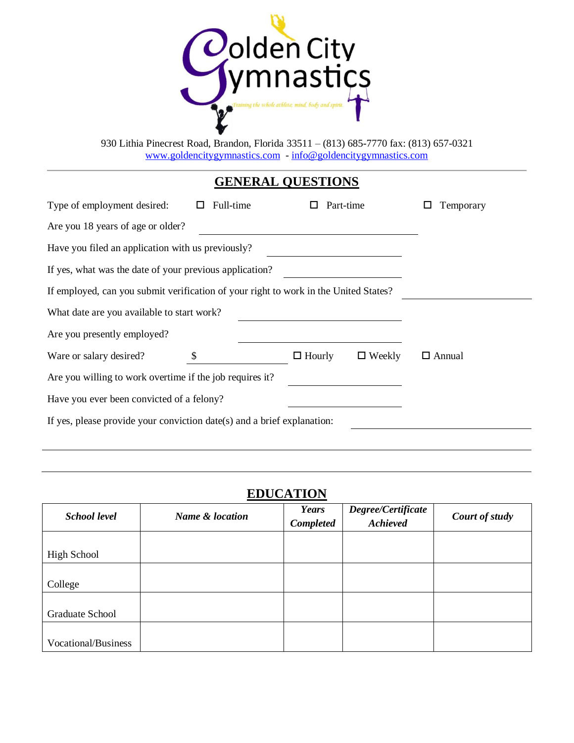

# **GENERAL QUESTIONS**

| Type of employment desired:                                                          | Full-time |               | Part-time     | Temporary     |  |  |  |  |  |
|--------------------------------------------------------------------------------------|-----------|---------------|---------------|---------------|--|--|--|--|--|
| Are you 18 years of age or older?                                                    |           |               |               |               |  |  |  |  |  |
| Have you filed an application with us previously?                                    |           |               |               |               |  |  |  |  |  |
| If yes, what was the date of your previous application?                              |           |               |               |               |  |  |  |  |  |
| If employed, can you submit verification of your right to work in the United States? |           |               |               |               |  |  |  |  |  |
| What date are you available to start work?                                           |           |               |               |               |  |  |  |  |  |
| Are you presently employed?                                                          |           |               |               |               |  |  |  |  |  |
| Ware or salary desired?                                                              | \$        | $\Box$ Hourly | $\Box$ Weekly | $\Box$ Annual |  |  |  |  |  |
| Are you willing to work overtime if the job requires it?                             |           |               |               |               |  |  |  |  |  |
| Have you ever been convicted of a felony?                                            |           |               |               |               |  |  |  |  |  |
| If yes, please provide your conviction date(s) and a brief explanation:              |           |               |               |               |  |  |  |  |  |
|                                                                                      |           |               |               |               |  |  |  |  |  |

## **EDUCATION**

| <b>School level</b>    | Name & location | Years<br><b>Completed</b> | Degree/Certificate<br><b>Achieved</b> | Court of study |
|------------------------|-----------------|---------------------------|---------------------------------------|----------------|
| <b>High School</b>     |                 |                           |                                       |                |
| College                |                 |                           |                                       |                |
| <b>Graduate School</b> |                 |                           |                                       |                |
| Vocational/Business    |                 |                           |                                       |                |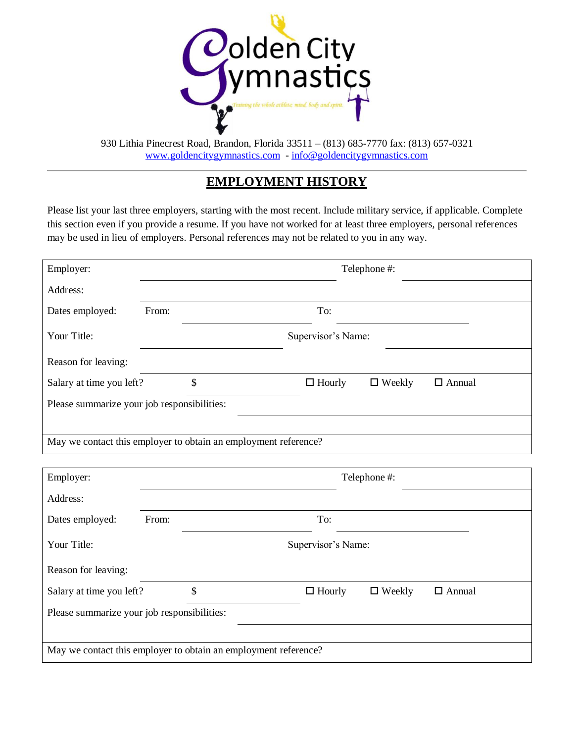

### **EMPLOYMENT HISTORY**

Please list your last three employers, starting with the most recent. Include military service, if applicable. Complete this section even if you provide a resume. If you have not worked for at least three employers, personal references may be used in lieu of employers. Personal references may not be related to you in any way.

| Employer:                                                       | Telephone #:       |    |  |               |               |               |  |
|-----------------------------------------------------------------|--------------------|----|--|---------------|---------------|---------------|--|
| Address:                                                        |                    |    |  |               |               |               |  |
| Dates employed:                                                 | From:              |    |  | To:           |               |               |  |
| Your Title:                                                     | Supervisor's Name: |    |  |               |               |               |  |
| Reason for leaving:                                             |                    |    |  |               |               |               |  |
| Salary at time you left?                                        |                    | \$ |  | $\Box$ Hourly | $\Box$ Weekly | $\Box$ Annual |  |
| Please summarize your job responsibilities:                     |                    |    |  |               |               |               |  |
|                                                                 |                    |    |  |               |               |               |  |
| May we contact this employer to obtain an employment reference? |                    |    |  |               |               |               |  |
|                                                                 |                    |    |  |               |               |               |  |

| Employer:                                                       |                    |    |  |               | Telephone #:  |               |  |
|-----------------------------------------------------------------|--------------------|----|--|---------------|---------------|---------------|--|
| Address:                                                        |                    |    |  |               |               |               |  |
| Dates employed:                                                 | From:              |    |  | To:           |               |               |  |
| Your Title:                                                     | Supervisor's Name: |    |  |               |               |               |  |
| Reason for leaving:                                             |                    |    |  |               |               |               |  |
| Salary at time you left?                                        |                    | \$ |  | $\Box$ Hourly | $\Box$ Weekly | $\Box$ Annual |  |
| Please summarize your job responsibilities:                     |                    |    |  |               |               |               |  |
|                                                                 |                    |    |  |               |               |               |  |
| May we contact this employer to obtain an employment reference? |                    |    |  |               |               |               |  |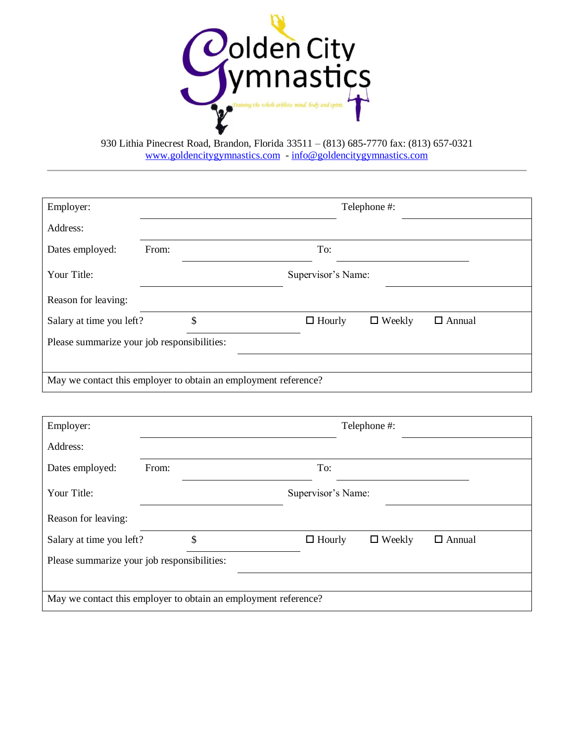

| Employer:                                                       | Telephone #: |    |  |                    |               |               |  |  |
|-----------------------------------------------------------------|--------------|----|--|--------------------|---------------|---------------|--|--|
| Address:                                                        |              |    |  |                    |               |               |  |  |
| Dates employed:                                                 | From:        |    |  | To:                |               |               |  |  |
| Your Title:                                                     |              |    |  | Supervisor's Name: |               |               |  |  |
| Reason for leaving:                                             |              |    |  |                    |               |               |  |  |
| Salary at time you left?                                        |              | \$ |  | $\Box$ Hourly      | $\Box$ Weekly | $\Box$ Annual |  |  |
| Please summarize your job responsibilities:                     |              |    |  |                    |               |               |  |  |
|                                                                 |              |    |  |                    |               |               |  |  |
| May we contact this employer to obtain an employment reference? |              |    |  |                    |               |               |  |  |

| Employer:                                                       | Telephone #:       |    |  |               |               |               |  |
|-----------------------------------------------------------------|--------------------|----|--|---------------|---------------|---------------|--|
| Address:                                                        |                    |    |  |               |               |               |  |
| Dates employed:                                                 | From:              |    |  | To:           |               |               |  |
| Your Title:                                                     | Supervisor's Name: |    |  |               |               |               |  |
| Reason for leaving:                                             |                    |    |  |               |               |               |  |
| Salary at time you left?                                        |                    | \$ |  | $\Box$ Hourly | $\Box$ Weekly | $\Box$ Annual |  |
| Please summarize your job responsibilities:                     |                    |    |  |               |               |               |  |
|                                                                 |                    |    |  |               |               |               |  |
| May we contact this employer to obtain an employment reference? |                    |    |  |               |               |               |  |